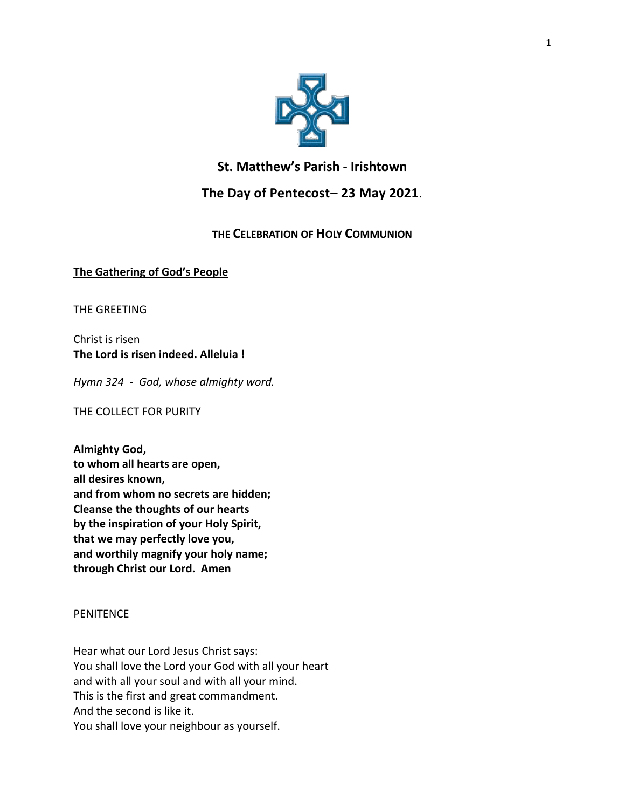

# **St. Matthew's Parish - Irishtown**

# **The Day of Pentecost– 23 May 2021**.

# **THE CELEBRATION OF HOLY COMMUNION**

## **The Gathering of God's People**

THE GREETING

Christ is risen **The Lord is risen indeed. Alleluia !**

*Hymn 324 - God, whose almighty word.*

THE COLLECT FOR PURITY

**Almighty God, to whom all hearts are open, all desires known, and from whom no secrets are hidden; Cleanse the thoughts of our hearts by the inspiration of your Holy Spirit, that we may perfectly love you, and worthily magnify your holy name; through Christ our Lord. Amen**

## **PENITENCE**

Hear what our Lord Jesus Christ says: You shall love the Lord your God with all your heart and with all your soul and with all your mind. This is the first and great commandment. And the second is like it. You shall love your neighbour as yourself.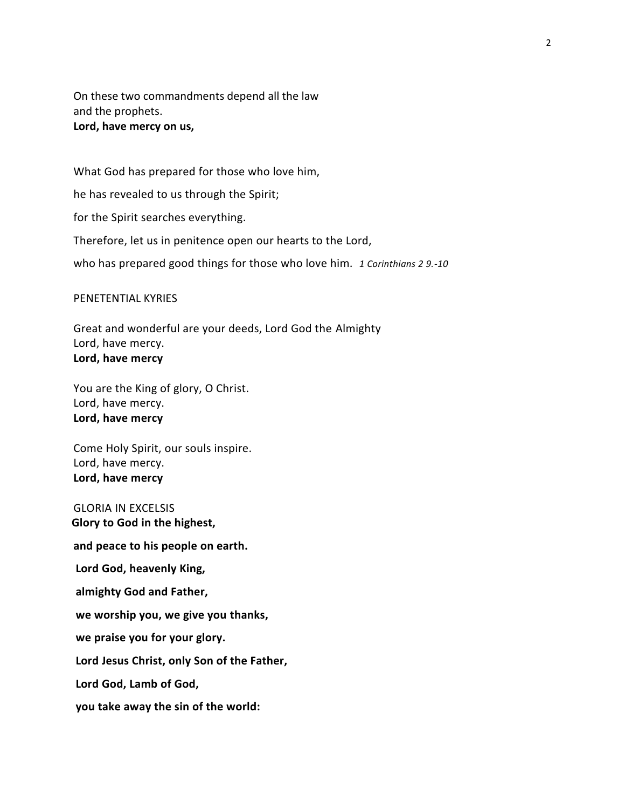On these two commandments depend all the law and the prophets. **Lord, have mercy on us,**

What God has prepared for those who love him, he has revealed to us through the Spirit; for the Spirit searches everything. Therefore, let us in penitence open our hearts to the Lord, who has prepared good things for those who love him. *1 Corinthians 2 9.-10*

PENETENTIAL KYRIES

Great and wonderful are your deeds, Lord God the Almighty Lord, have mercy. **Lord, have mercy**

You are the King of glory, O Christ. Lord, have mercy. **Lord, have mercy**

Come Holy Spirit, our souls inspire. Lord, have mercy. **Lord, have mercy**

GLORIA IN EXCELSIS  **Glory to God in the highest,**

**and peace to his people on earth.**

**Lord God, heavenly King,**

**almighty God and Father,**

**we worship you, we give you thanks,**

**we praise you for your glory.**

**Lord Jesus Christ, only Son of the Father,**

**Lord God, Lamb of God,**

**you take away the sin of the world:**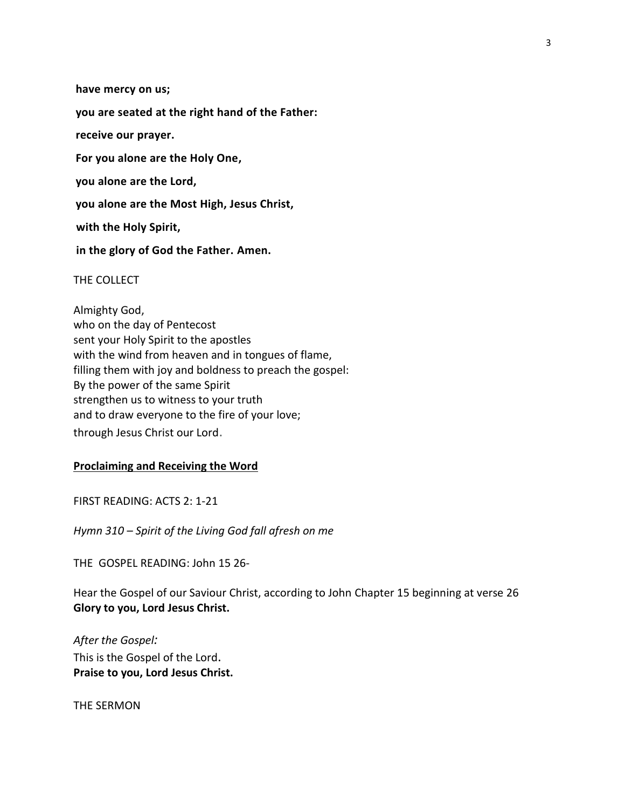**have mercy on us;**

**you are seated at the right hand of the Father:**

**receive our prayer.**

**For you alone are the Holy One,**

**you alone are the Lord,**

**you alone are the Most High, Jesus Christ,**

**with the Holy Spirit,**

**in the glory of God the Father. Amen.**

THE COLLECT

Almighty God, who on the day of Pentecost sent your Holy Spirit to the apostles with the wind from heaven and in tongues of flame, filling them with joy and boldness to preach the gospel: By the power of the same Spirit strengthen us to witness to your truth and to draw everyone to the fire of your love; through Jesus Christ our Lord.

#### **Proclaiming and Receiving the Word**

FIRST READING: ACTS 2: 1-21

*Hymn 310 – Spirit of the Living God fall afresh on me*

THE GOSPEL READING: John 15 26-

Hear the Gospel of our Saviour Christ, according to John Chapter 15 beginning at verse 26 **Glory to you, Lord Jesus Christ.**

*After the Gospel:* This is the Gospel of the Lord. **Praise to you, Lord Jesus Christ.**

THE SERMON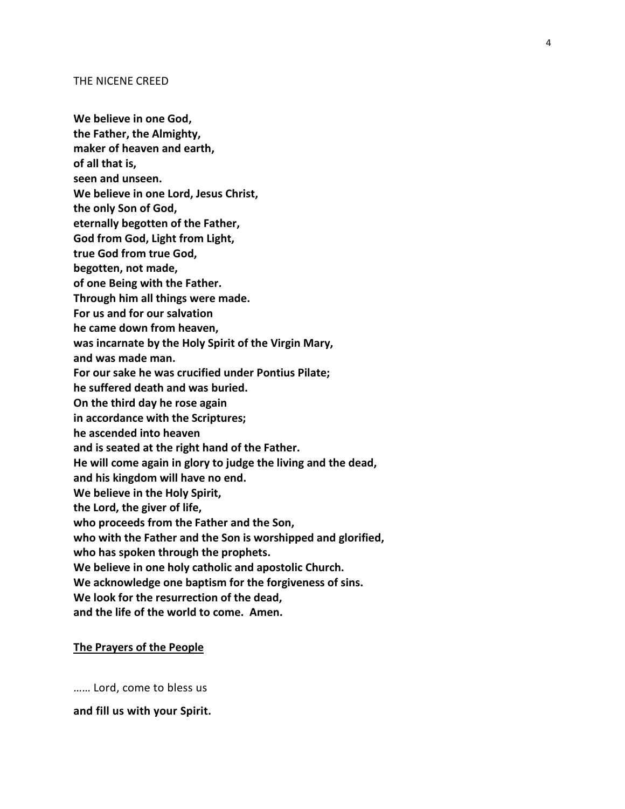#### THE NICENE CREED

- **We believe in one God,**
- **the Father, the Almighty,**
- **maker of heaven and earth,**
- **of all that is,**
- **seen and unseen.**
- **We believe in one Lord, Jesus Christ,**
- **the only Son of God,**
- **eternally begotten of the Father,**
- **God from God, Light from Light,**
- **true God from true God,**
- **begotten, not made,**
- **of one Being with the Father.**
- **Through him all things were made.**
- **For us and for our salvation**
- **he came down from heaven,**
- **was incarnate by the Holy Spirit of the Virgin Mary,**
- **and was made man.**
- **For our sake he was crucified under Pontius Pilate;**
- **he suffered death and was buried.**
- **On the third day he rose again**
- **in accordance with the Scriptures;**
- **he ascended into heaven**
- **and is seated at the right hand of the Father.**
- **He will come again in glory to judge the living and the dead,**
- **and his kingdom will have no end.**
- **We believe in the Holy Spirit,**
- **the Lord, the giver of life,**
- **who proceeds from the Father and the Son,**
- **who with the Father and the Son is worshipped and glorified,**
- **who has spoken through the prophets.**
- **We believe in one holy catholic and apostolic Church.**
- **We acknowledge one baptism for the forgiveness of sins.**
- **We look for the resurrection of the dead,**
- **and the life of the world to come. Amen.**

#### **The Prayers of the People**

…… Lord, come to bless us

**and fill us with your Spirit.**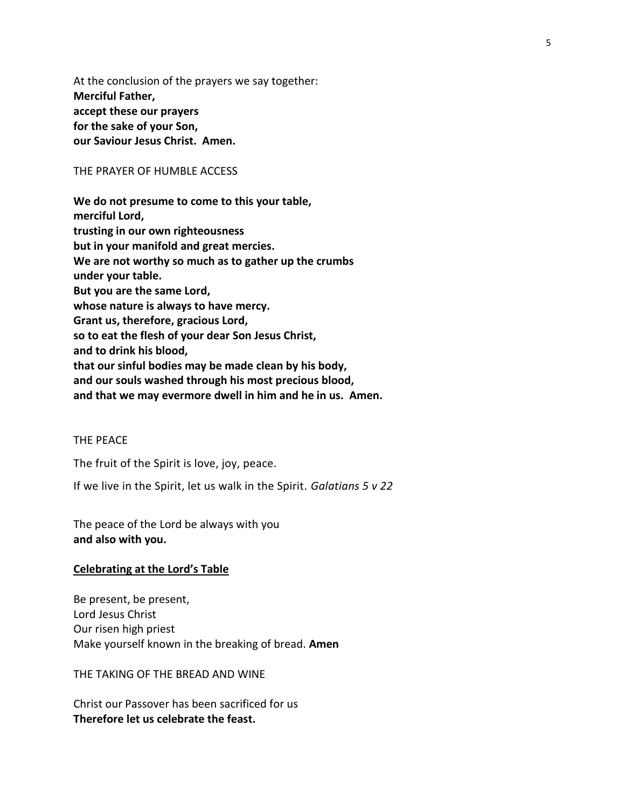At the conclusion of the prayers we say together: **Merciful Father, accept these our prayers for the sake of your Son, our Saviour Jesus Christ. Amen.**

## THE PRAYER OF HUMBLE ACCESS

**We do not presume to come to this your table, merciful Lord, trusting in our own righteousness but in your manifold and great mercies. We are not worthy so much as to gather up the crumbs under your table. But you are the same Lord, whose nature is always to have mercy. Grant us, therefore, gracious Lord, so to eat the flesh of your dear Son Jesus Christ, and to drink his blood, that our sinful bodies may be made clean by his body, and our souls washed through his most precious blood, and that we may evermore dwell in him and he in us. Amen.**

## THE PEACE

The fruit of the Spirit is love, joy, peace.

If we live in the Spirit, let us walk in the Spirit. *Galatians 5 v 22*

The peace of the Lord be always with you **and also with you.**

#### **Celebrating at the Lord's Table**

Be present, be present, Lord Jesus Christ Our risen high priest Make yourself known in the breaking of bread. **Amen**

THE TAKING OF THE BREAD AND WINE

Christ our Passover has been sacrificed for us **Therefore let us celebrate the feast.**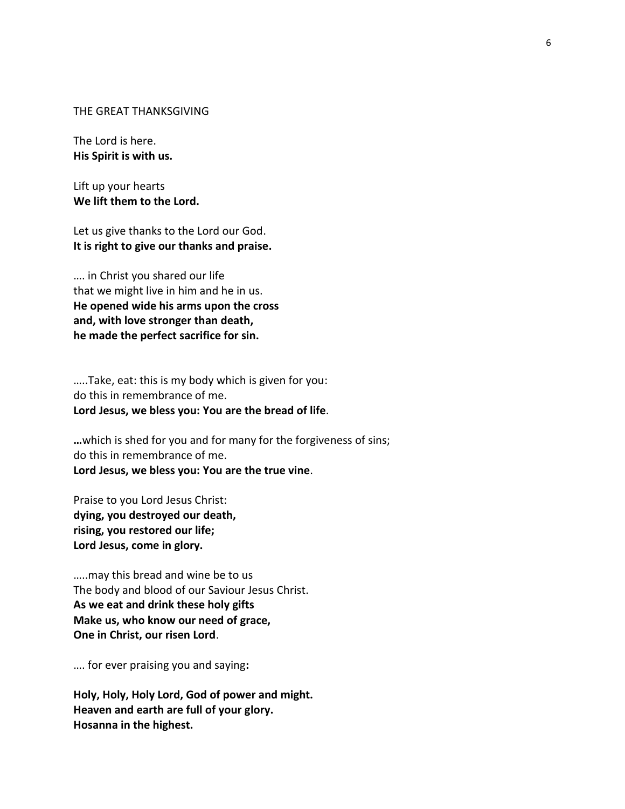#### THE GREAT THANKSGIVING

The Lord is here. **His Spirit is with us.**

Lift up your hearts **We lift them to the Lord.**

Let us give thanks to the Lord our God. **It is right to give our thanks and praise.**

…. in Christ you shared our life that we might live in him and he in us. **He opened wide his arms upon the cross and, with love stronger than death, he made the perfect sacrifice for sin.**

…..Take, eat: this is my body which is given for you: do this in remembrance of me. **Lord Jesus, we bless you: You are the bread of life**.

**…**which is shed for you and for many for the forgiveness of sins; do this in remembrance of me. **Lord Jesus, we bless you: You are the true vine**.

Praise to you Lord Jesus Christ: **dying, you destroyed our death, rising, you restored our life; Lord Jesus, come in glory.**

…..may this bread and wine be to us The body and blood of our Saviour Jesus Christ. **As we eat and drink these holy gifts Make us, who know our need of grace, One in Christ, our risen Lord**.

…. for ever praising you and saying**:**

**Holy, Holy, Holy Lord, God of power and might. Heaven and earth are full of your glory. Hosanna in the highest.**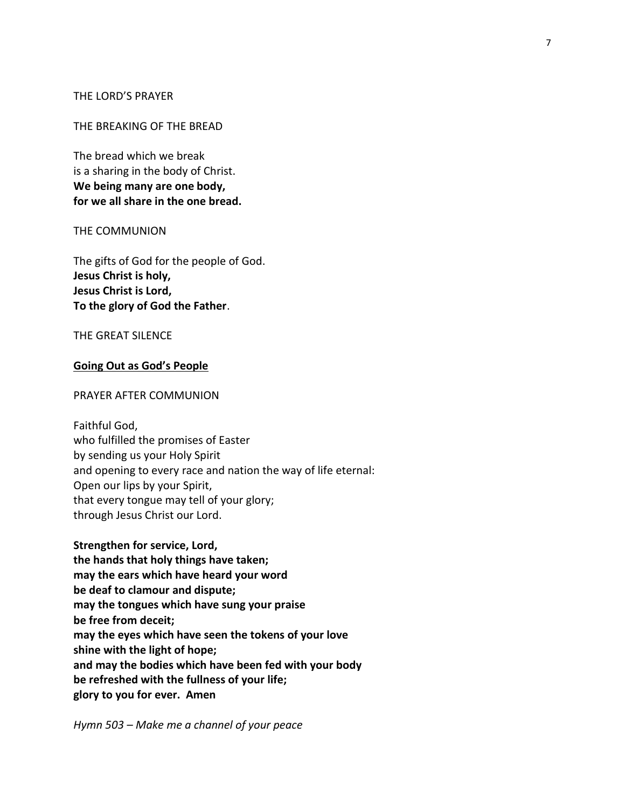## THE LORD'S PRAYER

#### THE BREAKING OF THE BREAD

The bread which we break is a sharing in the body of Christ. **We being many are one body, for we all share in the one bread.**

#### THE COMMUNION

The gifts of God for the people of God. **Jesus Christ is holy, Jesus Christ is Lord, To the glory of God the Father**.

#### THE GREAT SILENCE

## **Going Out as God's People**

#### PRAYER AFTER COMMUNION

Faithful God, who fulfilled the promises of Easter by sending us your Holy Spirit and opening to every race and nation the way of life eternal: Open our lips by your Spirit, that every tongue may tell of your glory; through Jesus Christ our Lord.

**Strengthen for service, Lord, the hands that holy things have taken; may the ears which have heard your word be deaf to clamour and dispute; may the tongues which have sung your praise be free from deceit; may the eyes which have seen the tokens of your love shine with the light of hope; and may the bodies which have been fed with your body be refreshed with the fullness of your life; glory to you for ever. Amen**

*Hymn 503 – Make me a channel of your peace*